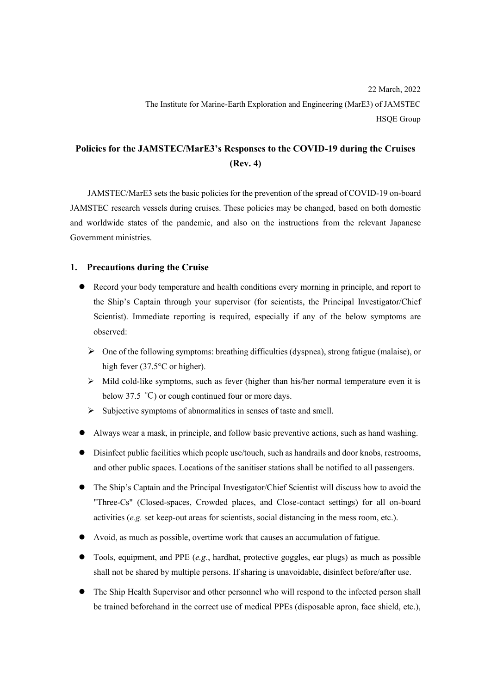## **Policies for the JAMSTEC/MarE3's Responses to the COVID-19 during the Cruises (Rev. 4)**

JAMSTEC/MarE3 sets the basic policies for the prevention of the spread of COVID-19 on-board JAMSTEC research vessels during cruises. These policies may be changed, based on both domestic and worldwide states of the pandemic, and also on the instructions from the relevant Japanese Government ministries.

## **1. Precautions during the Cruise**

- ⚫ Record your body temperature and health conditions every morning in principle, and report to the Ship's Captain through your supervisor (for scientists, the Principal Investigator/Chief Scientist). Immediate reporting is required, especially if any of the below symptoms are observed:
	- ➢ One of the following symptoms: breathing difficulties (dyspnea), strong fatigue (malaise), or high fever (37.5°C or higher).
	- ➢ Mild cold-like symptoms, such as fever (higher than his/her normal temperature even it is below 37.5 ℃) or cough continued four or more days.
	- $\triangleright$  Subjective symptoms of abnormalities in senses of taste and smell.
- ⚫ Always wear a mask, in principle, and follow basic preventive actions, such as hand washing.
- ⚫ Disinfect public facilities which people use/touch, such as handrails and door knobs, restrooms, and other public spaces. Locations of the sanitiser stations shall be notified to all passengers.
- ⚫ The Ship's Captain and the Principal Investigator/Chief Scientist will discuss how to avoid the "Three-Cs" (Closed-spaces, Crowded places, and Close-contact settings) for all on-board activities (*e.g.* set keep-out areas for scientists, social distancing in the mess room, etc.).
- ⚫ Avoid, as much as possible, overtime work that causes an accumulation of fatigue.
- ⚫ Tools, equipment, and PPE (*e.g.*, hardhat, protective goggles, ear plugs) as much as possible shall not be shared by multiple persons. If sharing is unavoidable, disinfect before/after use.
- ⚫ The Ship Health Supervisor and other personnel who will respond to the infected person shall be trained beforehand in the correct use of medical PPEs (disposable apron, face shield, etc.),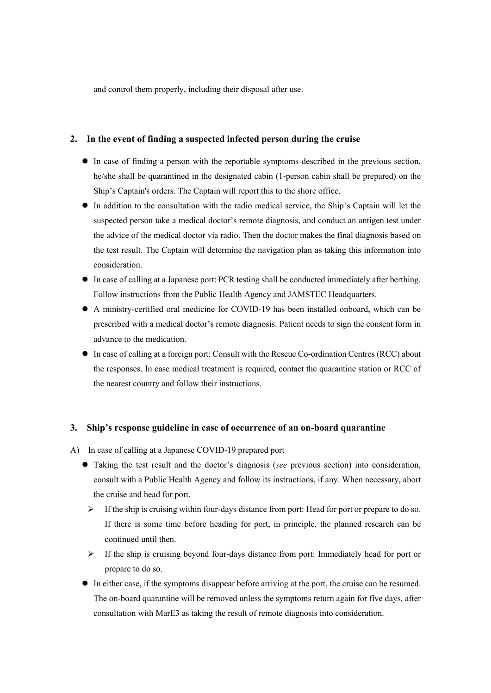and control them properly, including their disposal after use.

## **2. In the event of finding a suspected infected person during the cruise**

- ⚫ In case of finding a person with the reportable symptoms described in the previous section, he/she shall be quarantined in the designated cabin (1-person cabin shall be prepared) on the Ship's Captain's orders. The Captain will report this to the shore office.
- ⚫ In addition to the consultation with the radio medical service, the Ship's Captain will let the suspected person take a medical doctor's remote diagnosis, and conduct an antigen test under the advice of the medical doctor via radio. Then the doctor makes the final diagnosis based on the test result. The Captain will determine the navigation plan as taking this information into consideration.
- ⚫ In case of calling at a Japanese port: PCR testing shall be conducted immediately after berthing. Follow instructions from the Public Health Agency and JAMSTEC Headquarters.
- ⚫ A ministry-certified oral medicine for COVID-19 has been installed onboard, which can be prescribed with a medical doctor's remote diagnosis. Patient needs to sign the consent form in advance to the medication.
- ⚫ In case of calling at a foreign port: Consult with the Rescue Co-ordination Centres (RCC) about the responses. In case medical treatment is required, contact the quarantine station or RCC of the nearest country and follow their instructions.

## **3. Ship's response guideline in case of occurrence of an on-board quarantine**

- A) In case of calling at a Japanese COVID-19 prepared port
	- ⚫ Taking the test result and the doctor's diagnosis (*see* previous section) into consideration, consult with a Public Health Agency and follow its instructions, if any. When necessary, abort the cruise and head for port.
		- $\triangleright$  If the ship is cruising within four-days distance from port: Head for port or prepare to do so. If there is some time before heading for port, in principle, the planned research can be continued until then.
		- $\triangleright$  If the ship is cruising beyond four-days distance from port: Immediately head for port or prepare to do so.
	- ⚫ In either case, if the symptoms disappear before arriving at the port, the cruise can be resumed. The on-board quarantine will be removed unless the symptoms return again for five days, after consultation with MarE3 as taking the result of remote diagnosis into consideration.